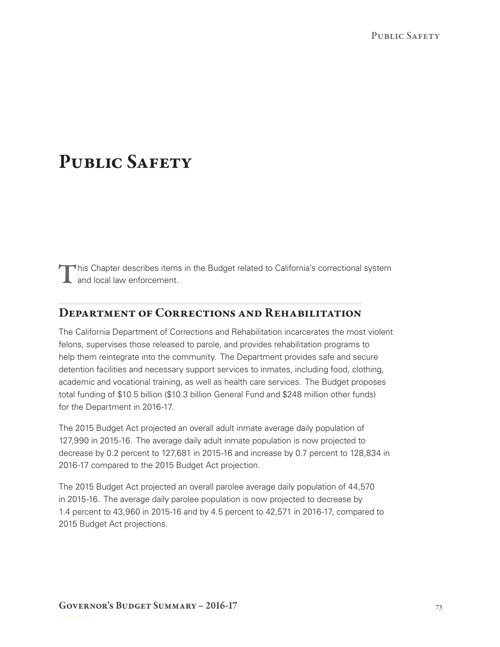# PUBLIC SAFETY

This Chapter describes items in the Budget related to California's correctional system **L** and local law enforcement.

# Department of Corrections and Rehabilitation

The California Department of Corrections and Rehabilitation incarcerates the most violent felons, supervises those released to parole, and provides rehabilitation programs to help them reintegrate into the community. The Department provides safe and secure detention facilities and necessary support services to inmates, including food, clothing, academic and vocational training, as well as health care services. The Budget proposes total funding of \$10.5 billion (\$10.3 billion General Fund and \$248 million other funds) for the Department in 2016-17.

The 2015 Budget Act projected an overall adult inmate average daily population of 127,990 in 2015‑16. The average daily adult inmate population is now projected to decrease by 0.2 percent to 127,681 in 2015-16 and increase by 0.7 percent to 128,834 in 2016‑17 compared to the 2015 Budget Act projection.

The 2015 Budget Act projected an overall parolee average daily population of 44,570 in 2015‑16. The average daily parolee population is now projected to decrease by 1.4 percent to 43,960 in 2015‑16 and by 4.5 percent to 42,571 in 2016‑17, compared to 2015 Budget Act projections.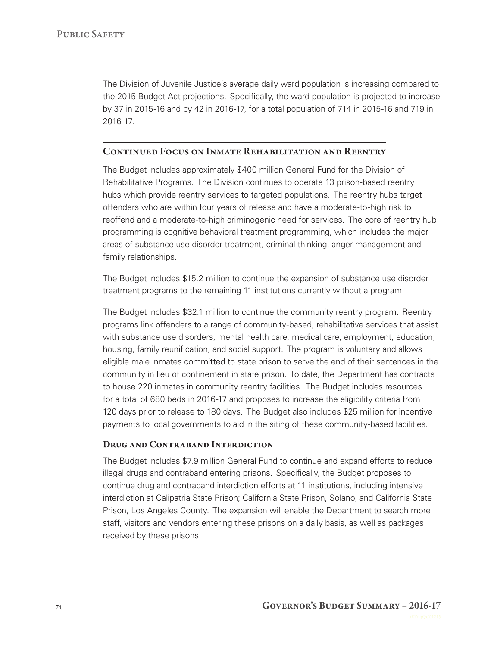The Division of Juvenile Justice's average daily ward population is increasing compared to the 2015 Budget Act projections. Specifically, the ward population is projected to increase by 37 in 2015‑16 and by 42 in 2016‑17, for a total population of 714 in 2015‑16 and 719 in 2016‑17.

## CONTINUED FOCUS ON INMATE REHABILITATION AND REENTRY

The Budget includes approximately \$400 million General Fund for the Division of Rehabilitative Programs. The Division continues to operate 13 prison-based reentry hubs which provide reentry services to targeted populations. The reentry hubs target offenders who are within four years of release and have a moderate‑to‑high risk to reoffend and a moderate-to-high criminogenic need for services. The core of reentry hub programming is cognitive behavioral treatment programming, which includes the major areas of substance use disorder treatment, criminal thinking, anger management and family relationships.

The Budget includes \$15.2 million to continue the expansion of substance use disorder treatment programs to the remaining 11 institutions currently without a program.

The Budget includes \$32.1 million to continue the community reentry program. Reentry programs link offenders to a range of community‑based, rehabilitative services that assist with substance use disorders, mental health care, medical care, employment, education, housing, family reunification, and social support. The program is voluntary and allows eligible male inmates committed to state prison to serve the end of their sentences in the community in lieu of confinement in state prison. To date, the Department has contracts to house 220 inmates in community reentry facilities. The Budget includes resources for a total of 680 beds in 2016-17 and proposes to increase the eligibility criteria from 120 days prior to release to 180 days. The Budget also includes \$25 million for incentive payments to local governments to aid in the siting of these community-based facilities.

#### DRUG AND CONTRABAND INTERDICTION

The Budget includes \$7.9 million General Fund to continue and expand efforts to reduce illegal drugs and contraband entering prisons. Specifically, the Budget proposes to continue drug and contraband interdiction efforts at 11 institutions, including intensive interdiction at Calipatria State Prison; California State Prison, Solano; and California State Prison, Los Angeles County. The expansion will enable the Department to search more staff, visitors and vendors entering these prisons on a daily basis, as well as packages received by these prisons.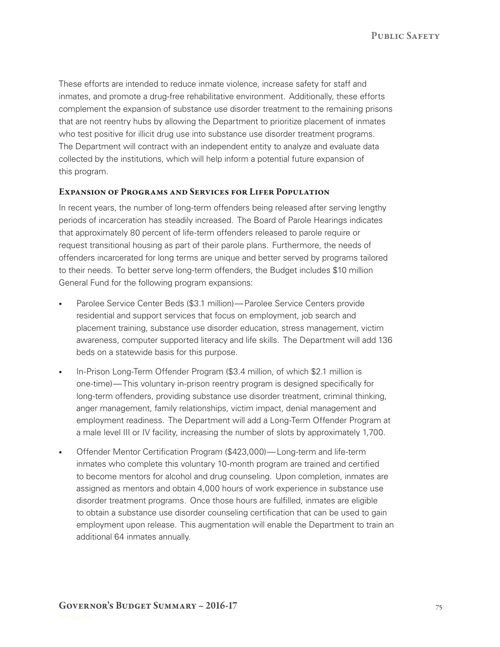PUBLIC SAFETY

These efforts are intended to reduce inmate violence, increase safety for staff and inmates, and promote a drug-free rehabilitative environment. Additionally, these efforts complement the expansion of substance use disorder treatment to the remaining prisons that are not reentry hubs by allowing the Department to prioritize placement of inmates who test positive for illicit drug use into substance use disorder treatment programs. The Department will contract with an independent entity to analyze and evaluate data collected by the institutions, which will help inform a potential future expansion of this program.

#### Expansion of Programs and Services for Lifer Population

In recent years, the number of long-term offenders being released after serving lengthy periods of incarceration has steadily increased. The Board of Parole Hearings indicates that approximately 80 percent of life‑term offenders released to parole require or request transitional housing as part of their parole plans. Furthermore, the needs of offenders incarcerated for long terms are unique and better served by programs tailored to their needs. To better serve long-term offenders, the Budget includes \$10 million General Fund for the following program expansions:

- Parolee Service Center Beds (\$3.1 million)— Parolee Service Centers provide residential and support services that focus on employment, job search and placement training, substance use disorder education, stress management, victim awareness, computer supported literacy and life skills. The Department will add 136 beds on a statewide basis for this purpose.
- In-Prison Long-Term Offender Program (\$3.4 million, of which \$2.1 million is one‑time)— This voluntary in‑prison reentry program is designed specifically for long-term offenders, providing substance use disorder treatment, criminal thinking, anger management, family relationships, victim impact, denial management and employment readiness. The Department will add a Long‑Term Offender Program at a male level III or IV facility, increasing the number of slots by approximately 1,700.
- Offender Mentor Certification Program (\$423,000)—Long-term and life-term inmates who complete this voluntary 10‑month program are trained and certified to become mentors for alcohol and drug counseling. Upon completion, inmates are assigned as mentors and obtain 4,000 hours of work experience in substance use disorder treatment programs. Once those hours are fulfilled, inmates are eligible to obtain a substance use disorder counseling certification that can be used to gain employment upon release. This augmentation will enable the Department to train an additional 64 inmates annually.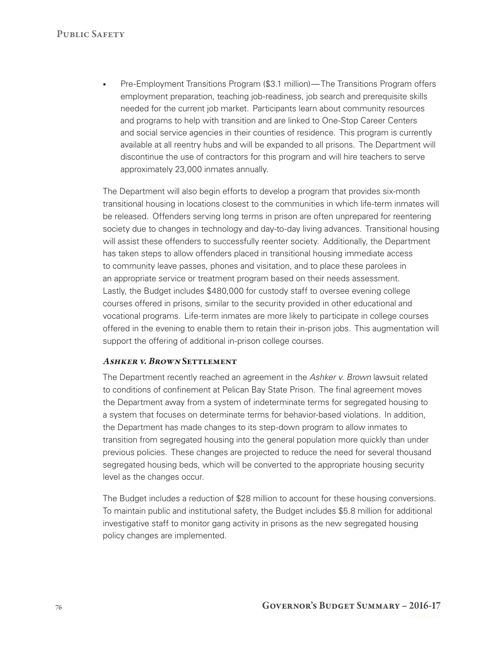• Pre-Employment Transitions Program (\$3.1 million)— The Transitions Program offers employment preparation, teaching job-readiness, job search and prerequisite skills needed for the current job market. Participants learn about community resources and programs to help with transition and are linked to One‑Stop Career Centers and social service agencies in their counties of residence. This program is currently available at all reentry hubs and will be expanded to all prisons. The Department will discontinue the use of contractors for this program and will hire teachers to serve approximately 23,000 inmates annually.

The Department will also begin efforts to develop a program that provides six-month transitional housing in locations closest to the communities in which life-term inmates will be released. Offenders serving long terms in prison are often unprepared for reentering society due to changes in technology and day-to-day living advances. Transitional housing will assist these offenders to successfully reenter society. Additionally, the Department has taken steps to allow offenders placed in transitional housing immediate access to community leave passes, phones and visitation, and to place these parolees in an appropriate service or treatment program based on their needs assessment. Lastly, the Budget includes \$480,000 for custody staff to oversee evening college courses offered in prisons, similar to the security provided in other educational and vocational programs. Life‑term inmates are more likely to participate in college courses offered in the evening to enable them to retain their in‑prison jobs. This augmentation will support the offering of additional in-prison college courses.

#### Ashker v. Brown Settlement

The Department recently reached an agreement in the *Ashker v. Brown* lawsuit related to conditions of confinement at Pelican Bay State Prison. The final agreement moves the Department away from a system of indeterminate terms for segregated housing to a system that focuses on determinate terms for behavior-based violations. In addition, the Department has made changes to its step‑down program to allow inmates to transition from segregated housing into the general population more quickly than under previous policies. These changes are projected to reduce the need for several thousand segregated housing beds, which will be converted to the appropriate housing security level as the changes occur.

The Budget includes a reduction of \$28 million to account for these housing conversions. To maintain public and institutional safety, the Budget includes \$5.8 million for additional investigative staff to monitor gang activity in prisons as the new segregated housing policy changes are implemented.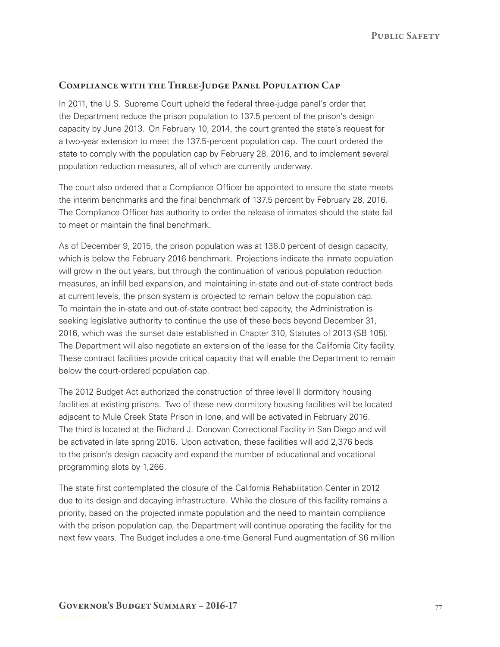# Compliance with the Three‑Judge Panel Population Cap

In 2011, the U.S. Supreme Court upheld the federal three-judge panel's order that the Department reduce the prison population to 137.5 percent of the prison's design capacity by June 2013. On February 10, 2014, the court granted the state's request for a two‑year extension to meet the 137.5‑percent population cap. The court ordered the state to comply with the population cap by February 28, 2016, and to implement several population reduction measures, all of which are currently underway.

The court also ordered that a Compliance Officer be appointed to ensure the state meets the interim benchmarks and the final benchmark of 137.5 percent by February 28, 2016. The Compliance Officer has authority to order the release of inmates should the state fail to meet or maintain the final benchmark.

As of December 9, 2015, the prison population was at 136.0 percent of design capacity, which is below the February 2016 benchmark. Projections indicate the inmate population will grow in the out years, but through the continuation of various population reduction measures, an infill bed expansion, and maintaining in-state and out-of-state contract beds at current levels, the prison system is projected to remain below the population cap. To maintain the in-state and out-of-state contract bed capacity, the Administration is seeking legislative authority to continue the use of these beds beyond December 31, 2016, which was the sunset date established in Chapter 310, Statutes of 2013 (SB 105). The Department will also negotiate an extension of the lease for the California City facility. These contract facilities provide critical capacity that will enable the Department to remain below the court-ordered population cap.

The 2012 Budget Act authorized the construction of three level II dormitory housing facilities at existing prisons. Two of these new dormitory housing facilities will be located adjacent to Mule Creek State Prison in Ione, and will be activated in February 2016. The third is located at the Richard J. Donovan Correctional Facility in San Diego and will be activated in late spring 2016. Upon activation, these facilities will add 2,376 beds to the prison's design capacity and expand the number of educational and vocational programming slots by 1,266.

The state first contemplated the closure of the California Rehabilitation Center in 2012 due to its design and decaying infrastructure. While the closure of this facility remains a priority, based on the projected inmate population and the need to maintain compliance with the prison population cap, the Department will continue operating the facility for the next few years. The Budget includes a one-time General Fund augmentation of \$6 million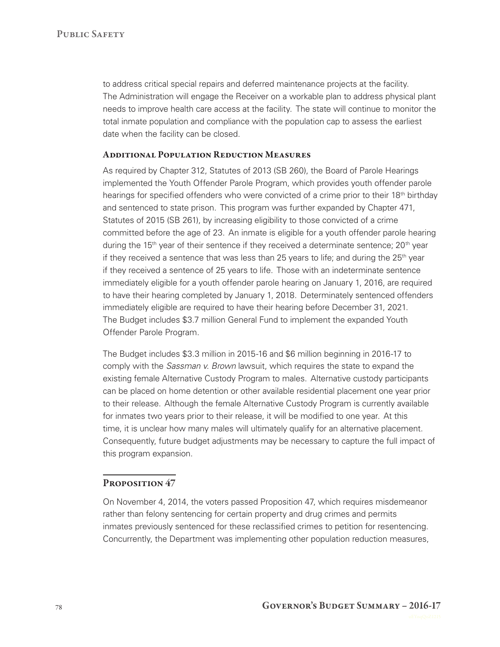to address critical special repairs and deferred maintenance projects at the facility. The Administration will engage the Receiver on a workable plan to address physical plant needs to improve health care access at the facility. The state will continue to monitor the total inmate population and compliance with the population cap to assess the earliest date when the facility can be closed.

#### Additional Population Reduction Measures

As required by Chapter 312, Statutes of 2013 (SB 260), the Board of Parole Hearings implemented the Youth Offender Parole Program, which provides youth offender parole hearings for specified offenders who were convicted of a crime prior to their 18<sup>th</sup> birthdav and sentenced to state prison. This program was further expanded by Chapter 471, Statutes of 2015 (SB 261), by increasing eligibility to those convicted of a crime committed before the age of 23. An inmate is eligible for a youth offender parole hearing during the  $15<sup>th</sup>$  year of their sentence if they received a determinate sentence;  $20<sup>th</sup>$  year if they received a sentence that was less than 25 years to life; and during the  $25<sup>th</sup>$  year if they received a sentence of 25 years to life. Those with an indeterminate sentence immediately eligible for a youth offender parole hearing on January 1, 2016, are required to have their hearing completed by January 1, 2018. Determinately sentenced offenders immediately eligible are required to have their hearing before December 31, 2021. The Budget includes \$3.7 million General Fund to implement the expanded Youth Offender Parole Program.

The Budget includes \$3.3 million in 2015‑16 and \$6 million beginning in 2016‑17 to comply with the *Sassman v. Brown* lawsuit, which requires the state to expand the existing female Alternative Custody Program to males. Alternative custody participants can be placed on home detention or other available residential placement one year prior to their release. Although the female Alternative Custody Program is currently available for inmates two years prior to their release, it will be modified to one year. At this time, it is unclear how many males will ultimately qualify for an alternative placement. Consequently, future budget adjustments may be necessary to capture the full impact of this program expansion.

#### Proposition 47

On November 4, 2014, the voters passed Proposition 47, which requires misdemeanor rather than felony sentencing for certain property and drug crimes and permits inmates previously sentenced for these reclassified crimes to petition for resentencing. Concurrently, the Department was implementing other population reduction measures,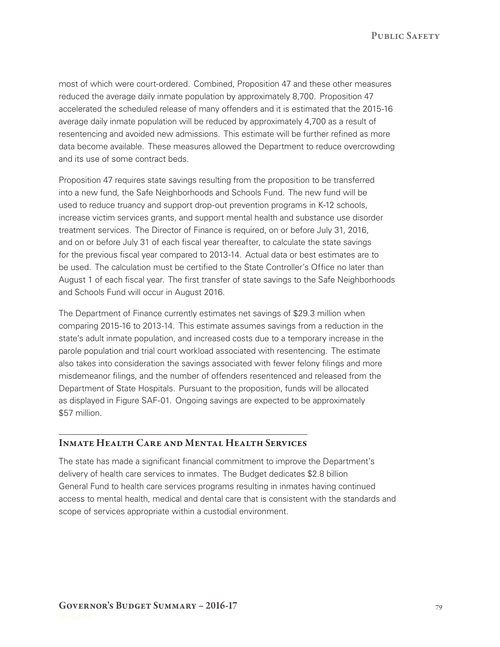PUBLIC SAFETY

most of which were court‑ordered. Combined, Proposition 47 and these other measures reduced the average daily inmate population by approximately 8,700. Proposition 47 accelerated the scheduled release of many offenders and it is estimated that the 2015‑16 average daily inmate population will be reduced by approximately 4,700 as a result of resentencing and avoided new admissions. This estimate will be further refined as more data become available. These measures allowed the Department to reduce overcrowding and its use of some contract beds.

Proposition 47 requires state savings resulting from the proposition to be transferred into a new fund, the Safe Neighborhoods and Schools Fund. The new fund will be used to reduce truancy and support drop-out prevention programs in K-12 schools, increase victim services grants, and support mental health and substance use disorder treatment services. The Director of Finance is required, on or before July 31, 2016, and on or before July 31 of each fiscal year thereafter, to calculate the state savings for the previous fiscal year compared to 2013-14. Actual data or best estimates are to be used. The calculation must be certified to the State Controller's Office no later than August 1 of each fiscal year. The first transfer of state savings to the Safe Neighborhoods and Schools Fund will occur in August 2016.

The Department of Finance currently estimates net savings of \$29.3 million when comparing 2015‑16 to 2013‑14. This estimate assumes savings from a reduction in the state's adult inmate population, and increased costs due to a temporary increase in the parole population and trial court workload associated with resentencing. The estimate also takes into consideration the savings associated with fewer felony filings and more misdemeanor filings, and the number of offenders resentenced and released from the Department of State Hospitals. Pursuant to the proposition, funds will be allocated as displayed in Figure SAF‑01. Ongoing savings are expected to be approximately \$57 million.

#### Inmate Health Care and Mental Health Services

The state has made a significant financial commitment to improve the Department's delivery of health care services to inmates. The Budget dedicates \$2.8 billion General Fund to health care services programs resulting in inmates having continued access to mental health, medical and dental care that is consistent with the standards and scope of services appropriate within a custodial environment.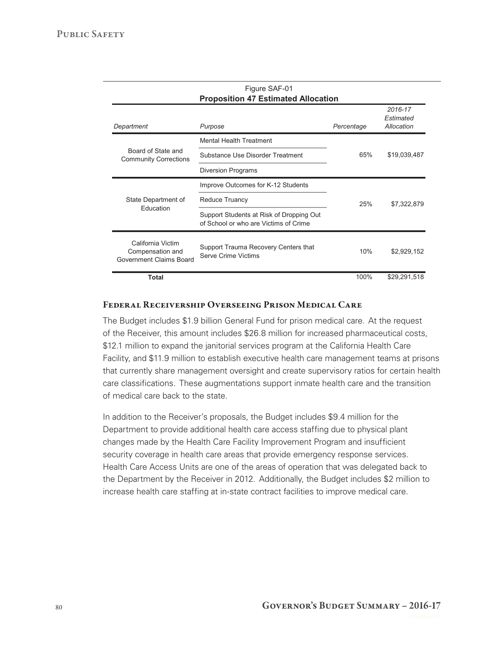| Figure SAF-01<br><b>Proposition 47 Estimated Allocation</b>      |                                                                                   |            |                                    |
|------------------------------------------------------------------|-----------------------------------------------------------------------------------|------------|------------------------------------|
| Department                                                       | Purpose                                                                           | Percentage | 2016-17<br>Estimated<br>Allocation |
| Board of State and<br><b>Community Corrections</b>               | <b>Mental Health Treatment</b>                                                    |            |                                    |
|                                                                  | Substance Use Disorder Treatment                                                  | 65%        | \$19,039,487                       |
|                                                                  | <b>Diversion Programs</b>                                                         |            |                                    |
| State Department of<br><b>Education</b>                          | Improve Outcomes for K-12 Students                                                |            |                                    |
|                                                                  | <b>Reduce Truancy</b>                                                             | 25%        | \$7,322,879                        |
|                                                                  | Support Students at Risk of Dropping Out<br>of School or who are Victims of Crime |            |                                    |
| California Victim<br>Compensation and<br>Government Claims Board | Support Trauma Recovery Centers that<br>Serve Crime Victims                       | 10%        | \$2,929,152                        |
| <b>Total</b>                                                     |                                                                                   | 100%       | \$29,291,518                       |

#### Federal Receivership Overseeing Prison Medical Care

The Budget includes \$1.9 billion General Fund for prison medical care. At the request of the Receiver, this amount includes \$26.8 million for increased pharmaceutical costs, \$12.1 million to expand the janitorial services program at the California Health Care Facility, and \$11.9 million to establish executive health care management teams at prisons that currently share management oversight and create supervisory ratios for certain health care classifications. These augmentations support inmate health care and the transition of medical care back to the state.

In addition to the Receiver's proposals, the Budget includes \$9.4 million for the Department to provide additional health care access staffing due to physical plant changes made by the Health Care Facility Improvement Program and insufficient security coverage in health care areas that provide emergency response services. Health Care Access Units are one of the areas of operation that was delegated back to the Department by the Receiver in 2012. Additionally, the Budget includes \$2 million to increase health care staffing at in‑state contract facilities to improve medical care.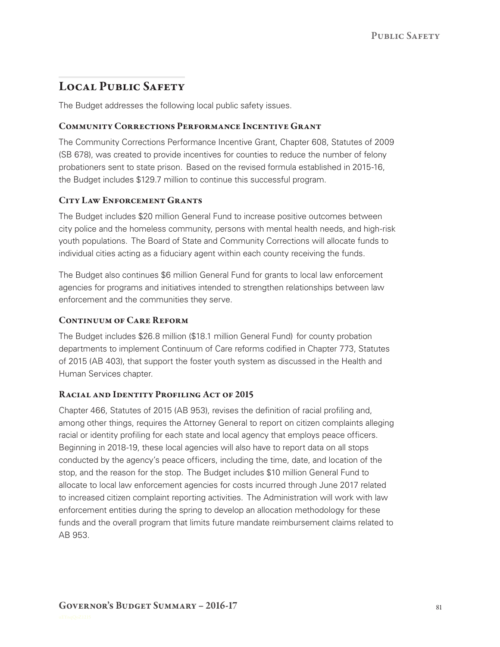# LOCAL PUBLIC SAFETY

The Budget addresses the following local public safety issues.

# Community Corrections Performance Incentive Grant

The Community Corrections Performance Incentive Grant, Chapter 608, Statutes of 2009 (SB 678), was created to provide incentives for counties to reduce the number of felony probationers sent to state prison. Based on the revised formula established in 2015‑16, the Budget includes \$129.7 million to continue this successful program.

# CITY LAW ENFORCEMENT GRANTS

The Budget includes \$20 million General Fund to increase positive outcomes between city police and the homeless community, persons with mental health needs, and high-risk youth populations. The Board of State and Community Corrections will allocate funds to individual cities acting as a fiduciary agent within each county receiving the funds.

The Budget also continues \$6 million General Fund for grants to local law enforcement agencies for programs and initiatives intended to strengthen relationships between law enforcement and the communities they serve.

# CONTINUUM OF CARE REFORM

The Budget includes \$26.8 million (\$18.1 million General Fund) for county probation departments to implement Continuum of Care reforms codified in Chapter 773, Statutes of 2015 (AB 403), that support the foster youth system as discussed in the Health and Human Services chapter.

#### RACIAL AND IDENTITY PROFILING ACT OF 2015

Chapter 466, Statutes of 2015 (AB 953), revises the definition of racial profiling and, among other things, requires the Attorney General to report on citizen complaints alleging racial or identity profiling for each state and local agency that employs peace officers. Beginning in 2018‑19, these local agencies will also have to report data on all stops conducted by the agency's peace officers, including the time, date, and location of the stop, and the reason for the stop. The Budget includes \$10 million General Fund to allocate to local law enforcement agencies for costs incurred through June 2017 related to increased citizen complaint reporting activities. The Administration will work with law enforcement entities during the spring to develop an allocation methodology for these funds and the overall program that limits future mandate reimbursement claims related to AB 953.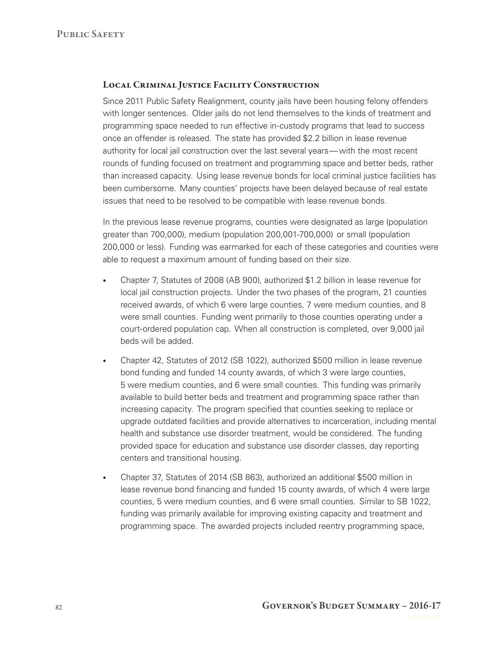#### Local Criminal Justice Facility Construction

Since 2011 Public Safety Realignment, county jails have been housing felony offenders with longer sentences. Older jails do not lend themselves to the kinds of treatment and programming space needed to run effective in‑custody programs that lead to success once an offender is released. The state has provided \$2.2 billion in lease revenue authority for local jail construction over the last several years— with the most recent rounds of funding focused on treatment and programming space and better beds, rather than increased capacity. Using lease revenue bonds for local criminal justice facilities has been cumbersome. Many counties' projects have been delayed because of real estate issues that need to be resolved to be compatible with lease revenue bonds.

In the previous lease revenue programs, counties were designated as large (population greater than 700,000), medium (population 200,001‑700,000) or small (population 200,000 or less). Funding was earmarked for each of these categories and counties were able to request a maximum amount of funding based on their size.

- • Chapter 7, Statutes of 2008 (AB 900), authorized \$1.2 billion in lease revenue for local jail construction projects. Under the two phases of the program, 21 counties received awards, of which 6 were large counties, 7 were medium counties, and 8 were small counties. Funding went primarily to those counties operating under a court-ordered population cap. When all construction is completed, over 9,000 jail beds will be added.
- • Chapter 42, Statutes of 2012 (SB 1022), authorized \$500 million in lease revenue bond funding and funded 14 county awards, of which 3 were large counties, 5 were medium counties, and 6 were small counties. This funding was primarily available to build better beds and treatment and programming space rather than increasing capacity. The program specified that counties seeking to replace or upgrade outdated facilities and provide alternatives to incarceration, including mental health and substance use disorder treatment, would be considered. The funding provided space for education and substance use disorder classes, day reporting centers and transitional housing.
- • Chapter 37, Statutes of 2014 (SB 863), authorized an additional \$500 million in lease revenue bond financing and funded 15 county awards, of which 4 were large counties, 5 were medium counties, and 6 were small counties. Similar to SB 1022, funding was primarily available for improving existing capacity and treatment and programming space. The awarded projects included reentry programming space,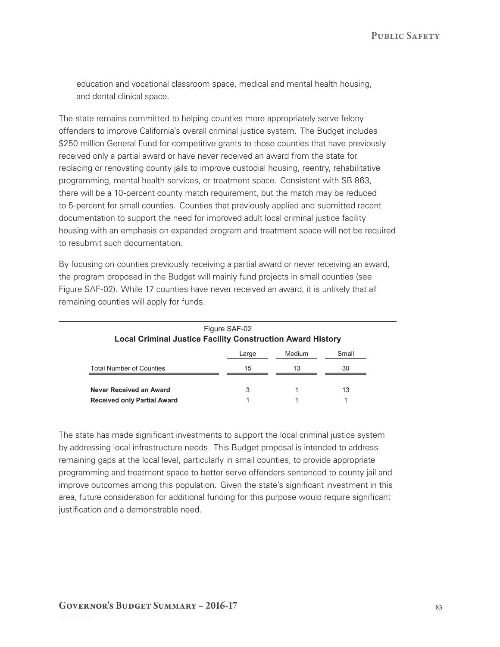education and vocational classroom space, medical and mental health housing, and dental clinical space.

The state remains committed to helping counties more appropriately serve felony offenders to improve California's overall criminal justice system. The Budget includes \$250 million General Fund for competitive grants to those counties that have previously received only a partial award or have never received an award from the state for replacing or renovating county jails to improve custodial housing, reentry, rehabilitative programming, mental health services, or treatment space. Consistent with SB 863, there will be a 10‑percent county match requirement, but the match may be reduced to 5‑percent for small counties. Counties that previously applied and submitted recent documentation to support the need for improved adult local criminal justice facility housing with an emphasis on expanded program and treatment space will not be required to resubmit such documentation.

By focusing on counties previously receiving a partial award or never receiving an award, the program proposed in the Budget will mainly fund projects in small counties (see Figure SAF‑02). While 17 counties have never received an award, it is unlikely that all remaining counties will apply for funds.

| <b>Local Criminal Justice Facility Construction Award History</b> | Figure SAF-02 |        |       |
|-------------------------------------------------------------------|---------------|--------|-------|
|                                                                   | Large         | Medium | Small |
| <b>Total Number of Counties</b>                                   | 15            | 13     | 30    |
| Never Received an Award                                           | 3             |        | 13    |
| <b>Received only Partial Award</b>                                |               |        |       |

The state has made significant investments to support the local criminal justice system by addressing local infrastructure needs. This Budget proposal is intended to address remaining gaps at the local level, particularly in small counties, to provide appropriate programming and treatment space to better serve offenders sentenced to county jail and improve outcomes among this population. Given the state's significant investment in this area, future consideration for additional funding for this purpose would require significant justification and a demonstrable need.